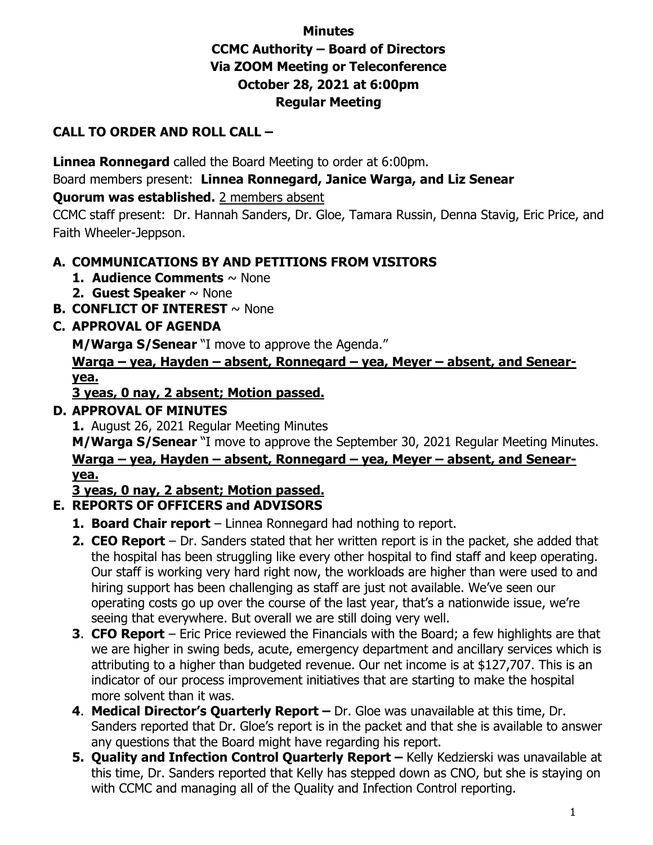# **Minutes CCMC Authority – Board of Directors Via ZOOM Meeting or Teleconference October 28, 2021 at 6:00pm Regular Meeting**

## **CALL TO ORDER AND ROLL CALL –**

**Linnea Ronnegard** called the Board Meeting to order at 6:00pm.

Board members present: **Linnea Ronnegard, Janice Warga, and Liz Senear**

#### **Quorum was established.** 2 members absent

CCMC staff present: Dr. Hannah Sanders, Dr. Gloe, Tamara Russin, Denna Stavig, Eric Price, and Faith Wheeler-Jeppson.

### **A. COMMUNICATIONS BY AND PETITIONS FROM VISITORS**

- **1. Audience Comments** ~ None
- **2. Guest Speaker** ~ None
- **B. CONFLICT OF INTEREST** ~ None

### **C. APPROVAL OF AGENDA**

**M/Warga S/Senear** "I move to approve the Agenda."

**Warga – yea, Hayden – absent, Ronnegard – yea, Meyer – absent, and Senearyea.**

**3 yeas, 0 nay, 2 absent; Motion passed.**

#### **D. APPROVAL OF MINUTES**

**1.** August 26, 2021 Regular Meeting Minutes

**M/Warga S/Senear** "I move to approve the September 30, 2021 Regular Meeting Minutes. **Warga – yea, Hayden – absent, Ronnegard – yea, Meyer – absent, and Senearyea.**

## **3 yeas, 0 nay, 2 absent; Motion passed.**

## **E. REPORTS OF OFFICERS and ADVISORS**

- **1. Board Chair report** Linnea Ronnegard had nothing to report.
- **2. CEO Report** Dr. Sanders stated that her written report is in the packet, she added that the hospital has been struggling like every other hospital to find staff and keep operating. Our staff is working very hard right now, the workloads are higher than were used to and hiring support has been challenging as staff are just not available. We've seen our operating costs go up over the course of the last year, that's a nationwide issue, we're seeing that everywhere. But overall we are still doing very well.
- **3**. **CFO Report** Eric Price reviewed the Financials with the Board; a few highlights are that we are higher in swing beds, acute, emergency department and ancillary services which is attributing to a higher than budgeted revenue. Our net income is at \$127,707. This is an indicator of our process improvement initiatives that are starting to make the hospital more solvent than it was.
- **4**. **Medical Director's Quarterly Report** Dr. Gloe was unavailable at this time, Dr. Sanders reported that Dr. Gloe's report is in the packet and that she is available to answer any questions that the Board might have regarding his report.
- **5. Quality and Infection Control Quarterly Report Kelly Kedzierski was unavailable at** this time, Dr. Sanders reported that Kelly has stepped down as CNO, but she is staying on with CCMC and managing all of the Quality and Infection Control reporting.